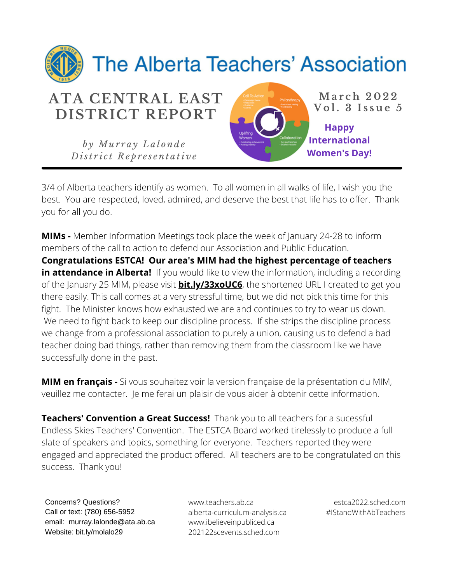

3/4 of Alberta teachers identify as women. To all women in all walks of life, I wish you the best. You are respected, loved, admired, and deserve the best that life has to offer. Thank you for all you do.

**MIMs -** Member Information Meetings took place the week of January 24-28 to inform members of the call to action to defend our Association and Public Education.

**Congratulations ESTCA! Our area's MIM had the highest percentage of teachers in attendance in Alberta!** If you would like to view the information, including a recording of the January 25 MIM, please visit **bit.ly/33xoUC6**, the shortened URL I created to get you there easily. This call comes at a very stressful time, but we did not pick this time for this fight. The Minister knows how exhausted we are and continues to try to wear us down. We need to fight back to keep our discipline process. If she strips the discipline process we change from a professional association to purely a union, causing us to defend a bad teacher doing bad things, rather than removing them from the classroom like we have successfully done in the past.

**MIM en français -** Si vous souhaitez voir la version française de la présentation du MIM, veuillez me contacter. Je me ferai un plaisir de vous aider à obtenir cette information.

**Teachers' Convention a Great Success!** Thank you to all teachers for a sucessful Endless Skies Teachers' Convention. The ESTCA Board worked tirelessly to produce a full slate of speakers and topics, something for everyone. Teachers reported they were engaged and appreciated the product offered. All teachers are to be congratulated on this success. Thank you!

Concerns? Questions? Call or text: (780) 656-5952 email: murray.lalonde@ata.ab.ca Website: bit.ly/molalo29

www.teachers.ab.ca alberta-curriculum-analysis.ca www.ibelieveinpubliced.ca 202122scevents.sched.com

estca2022.sched.com #IStandWithAbTeachers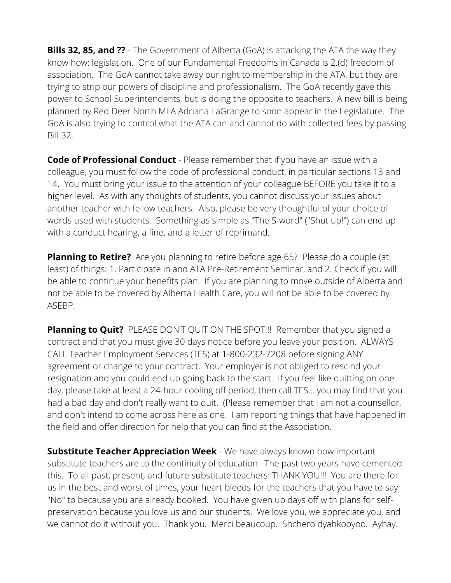**Bills 32, 85, and ??** - The Government of Alberta (GoA) is attacking the ATA the way they know how: legislation. One of our Fundamental Freedoms in Canada is 2.(d) freedom of association. The GoA cannot take away our right to membership in the ATA, but they are trying to strip our powers of discipline and professionalism. The GoA recently gave this power to School Superintendents, but is doing the opposite to teachers. A new bill is being planned by Red Deer North MLA Adriana LaGrange to soon appear in the Legislature. The GoA is also trying to control what the ATA can and cannot do with collected fees by passing Bill 32.

**Code of Professional Conduct** - Please remember that if you have an issue with a colleague, you must follow the code of professional conduct, in particular sections 13 and 14. You must bring your issue to the attention of your colleague BEFORE you take it to a higher level. As with any thoughts of students, you cannot discuss your issues about another teacher with fellow teachers. Also, please be very thoughtful of your choice of words used with students. Something as simple as "The S-word" ("Shut up!") can end up with a conduct hearing, a fine, and a letter of reprimand.

**Planning to Retire?** Are you planning to retire before age 65? Please do a couple (at least) of things: 1. Participate in and ATA Pre-Retirement Seminar, and 2. Check if you will be able to continue your benefits plan. If you are planning to move outside of Alberta and not be able to be covered by Alberta Health Care, you will not be able to be covered by ASEBP.

**Planning to Quit?** PLEASE DON'T QUIT ON THE SPOT!!! Remember that you signed a contract and that you must give 30 days notice before you leave your position. ALWAYS CALL Teacher Employment Services (TES) at 1-800-232-7208 before signing ANY agreement or change to your contract. Your employer is not obliged to rescind your resignation and you could end up going back to the start. If you feel like quitting on one day, please take at least a 24-hour cooling off period, then call TES... you may find that you had a bad day and don't really want to quit. (Please remember that I am not a counsellor, and don't intend to come across here as one. I am reporting things that have happened in the field and offer direction for help that you can find at the Association.

**Substitute Teacher Appreciation Week** - We have always known how important substitute teachers are to the continuity of education. The past two years have cemented this. To all past, present, and future substitute teachers: THANK YOU!!! You are there for us in the best and worst of times, your heart bleeds for the teachers that you have to say "No" to because you are already booked. You have given up days off with plans for selfpreservation because you love us and our students. We love you, we appreciate you, and we cannot do it without you. Thank you. Merci beaucoup. Shchero dyahkooyoo. Ayhay.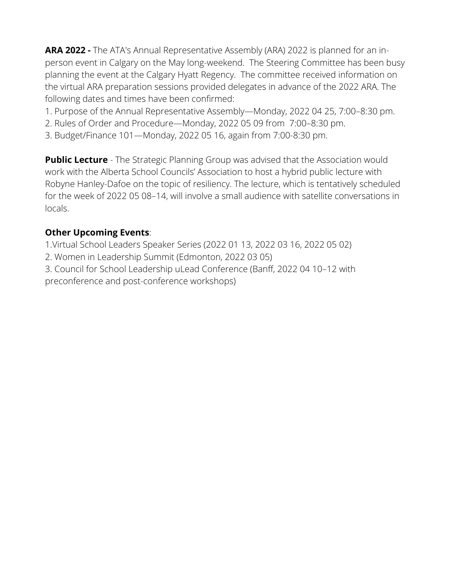**ARA 2022 -** The ATA's Annual Representative Assembly (ARA) 2022 is planned for an inperson event in Calgary on the May long-weekend. The Steering Committee has been busy planning the event at the Calgary Hyatt Regency. The committee received information on the virtual ARA preparation sessions provided delegates in advance of the 2022 ARA. The following dates and times have been confirmed:

- 1. Purpose of the Annual Representative Assembly—Monday, 2022 04 25, 7:00–8:30 pm.
- 2. Rules of Order and Procedure—Monday, 2022 05 09 from 7:00–8:30 pm.
- 3. Budget/Finance 101—Monday, 2022 05 16, again from 7:00-8:30 pm.

**Public Lecture** - The Strategic Planning Group was advised that the Association would work with the Alberta School Councils' Association to host a hybrid public lecture with Robyne Hanley-Dafoe on the topic of resiliency. The lecture, which is tentatively scheduled for the week of 2022 05 08–14, will involve a small audience with satellite conversations in locals.

## **Other Upcoming Events**:

1.Virtual School Leaders Speaker Series (2022 01 13, 2022 03 16, 2022 05 02)

- 2. Women in Leadership Summit (Edmonton, 2022 03 05)
- 3. Council for School Leadership uLead Conference (Banff, 2022 04 10–12 with preconference and post-conference workshops)